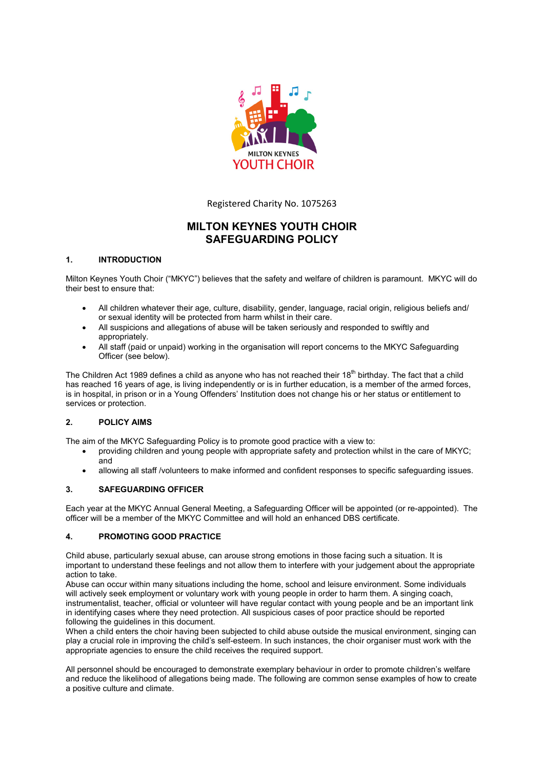

Registered Charity No. 1075263

# **MILTON KEYNES YOUTH CHOIR SAFEGUARDING POLICY**

# **1. INTRODUCTION**

Milton Keynes Youth Choir ("MKYC") believes that the safety and welfare of children is paramount. MKYC will do their best to ensure that:

- All children whatever their age, culture, disability, gender, language, racial origin, religious beliefs and/ or sexual identity will be protected from harm whilst in their care.
- All suspicions and allegations of abuse will be taken seriously and responded to swiftly and appropriately.
- All staff (paid or unpaid) working in the organisation will report concerns to the MKYC Safeguarding Officer (see below).

The Children Act 1989 defines a child as anyone who has not reached their 18<sup>th</sup> birthday. The fact that a child has reached 16 years of age, is living independently or is in further education, is a member of the armed forces, is in hospital, in prison or in a Young Offenders' Institution does not change his or her status or entitlement to services or protection.

# **2. POLICY AIMS**

The aim of the MKYC Safeguarding Policy is to promote good practice with a view to:

- providing children and young people with appropriate safety and protection whilst in the care of MKYC; and
- allowing all staff /volunteers to make informed and confident responses to specific safeguarding issues.

# **3. SAFEGUARDING OFFICER**

Each year at the MKYC Annual General Meeting, a Safeguarding Officer will be appointed (or re-appointed). The officer will be a member of the MKYC Committee and will hold an enhanced DBS certificate.

# **4. PROMOTING GOOD PRACTICE**

Child abuse, particularly sexual abuse, can arouse strong emotions in those facing such a situation. It is important to understand these feelings and not allow them to interfere with your judgement about the appropriate action to take.

Abuse can occur within many situations including the home, school and leisure environment. Some individuals will actively seek employment or voluntary work with young people in order to harm them. A singing coach, instrumentalist, teacher, official or volunteer will have regular contact with young people and be an important link in identifying cases where they need protection. All suspicious cases of poor practice should be reported following the guidelines in this document.

When a child enters the choir having been subjected to child abuse outside the musical environment, singing can play a crucial role in improving the child's self-esteem. In such instances, the choir organiser must work with the appropriate agencies to ensure the child receives the required support.

All personnel should be encouraged to demonstrate exemplary behaviour in order to promote children's welfare and reduce the likelihood of allegations being made. The following are common sense examples of how to create a positive culture and climate.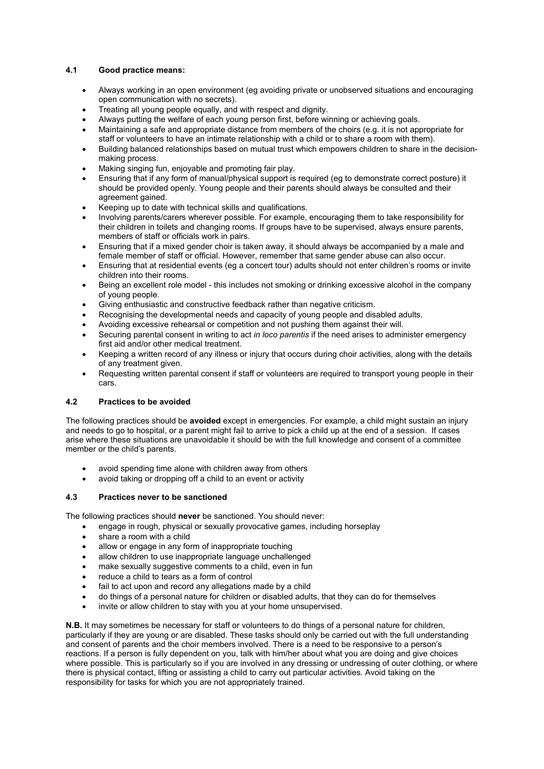## **4.1 Good practice means:**

- Always working in an open environment (eg avoiding private or unobserved situations and encouraging open communication with no secrets).
- Treating all young people equally, and with respect and dignity.
- Always putting the welfare of each young person first, before winning or achieving goals.
- Maintaining a safe and appropriate distance from members of the choirs (e.g. it is not appropriate for staff or volunteers to have an intimate relationship with a child or to share a room with them).
- Building balanced relationships based on mutual trust which empowers children to share in the decisionmaking process.
- Making singing fun, enjoyable and promoting fair play.
- Ensuring that if any form of manual/physical support is required (eg to demonstrate correct posture) it should be provided openly. Young people and their parents should always be consulted and their agreement gained.
- Keeping up to date with technical skills and qualifications.
- Involving parents/carers wherever possible. For example, encouraging them to take responsibility for their children in toilets and changing rooms. If groups have to be supervised, always ensure parents, members of staff or officials work in pairs.
- Ensuring that if a mixed gender choir is taken away, it should always be accompanied by a male and female member of staff or official. However, remember that same gender abuse can also occur.
- Ensuring that at residential events (eg a concert tour) adults should not enter children's rooms or invite children into their rooms.
- Being an excellent role model this includes not smoking or drinking excessive alcohol in the company of young people.
- Giving enthusiastic and constructive feedback rather than negative criticism.
- Recognising the developmental needs and capacity of young people and disabled adults.
- Avoiding excessive rehearsal or competition and not pushing them against their will.
- Securing parental consent in writing to act *in loco parentis* if the need arises to administer emergency first aid and/or other medical treatment.
- Keeping a written record of any illness or injury that occurs during choir activities, along with the details of any treatment given.
- Requesting written parental consent if staff or volunteers are required to transport young people in their cars.

#### **4.2 Practices to be avoided**

The following practices should be **avoided** except in emergencies. For example, a child might sustain an injury and needs to go to hospital, or a parent might fail to arrive to pick a child up at the end of a session. If cases arise where these situations are unavoidable it should be with the full knowledge and consent of a committee member or the child's parents.

- avoid spending time alone with children away from others
- avoid taking or dropping off a child to an event or activity

## **4.3 Practices never to be sanctioned**

The following practices should **never** be sanctioned. You should never:

- engage in rough, physical or sexually provocative games, including horseplay
- share a room with a child
- allow or engage in any form of inappropriate touching
- allow children to use inappropriate language unchallenged
- make sexually suggestive comments to a child, even in fun
- reduce a child to tears as a form of control
- fail to act upon and record any allegations made by a child
- do things of a personal nature for children or disabled adults, that they can do for themselves
- invite or allow children to stay with you at your home unsupervised.

**N.B.** It may sometimes be necessary for staff or volunteers to do things of a personal nature for children, particularly if they are young or are disabled. These tasks should only be carried out with the full understanding and consent of parents and the choir members involved. There is a need to be responsive to a person's reactions. If a person is fully dependent on you, talk with him/her about what you are doing and give choices where possible. This is particularly so if you are involved in any dressing or undressing of outer clothing, or where there is physical contact, lifting or assisting a child to carry out particular activities. Avoid taking on the responsibility for tasks for which you are not appropriately trained.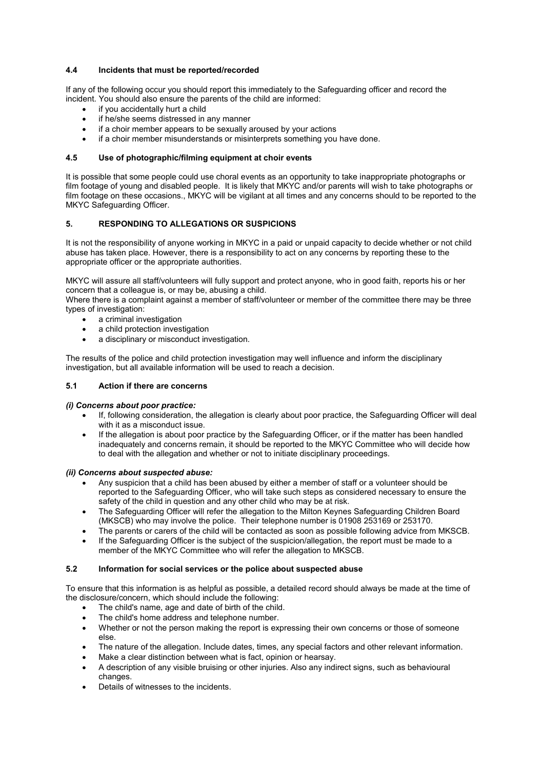## **4.4 Incidents that must be reported/recorded**

If any of the following occur you should report this immediately to the Safeguarding officer and record the incident. You should also ensure the parents of the child are informed:

- if you accidentally hurt a child
- if he/she seems distressed in any manner
- if a choir member appears to be sexually aroused by your actions
- if a choir member misunderstands or misinterprets something you have done.

#### **4.5 Use of photographic/filming equipment at choir events**

It is possible that some people could use choral events as an opportunity to take inappropriate photographs or film footage of young and disabled people. It is likely that MKYC and/or parents will wish to take photographs or film footage on these occasions., MKYC will be vigilant at all times and any concerns should to be reported to the MKYC Safeguarding Officer.

### **5. RESPONDING TO ALLEGATIONS OR SUSPICIONS**

It is not the responsibility of anyone working in MKYC in a paid or unpaid capacity to decide whether or not child abuse has taken place. However, there is a responsibility to act on any concerns by reporting these to the appropriate officer or the appropriate authorities.

MKYC will assure all staff/volunteers will fully support and protect anyone, who in good faith, reports his or her concern that a colleague is, or may be, abusing a child.

Where there is a complaint against a member of staff/volunteer or member of the committee there may be three types of investigation:

- a criminal investigation
- a child protection investigation
- a disciplinary or misconduct investigation.

The results of the police and child protection investigation may well influence and inform the disciplinary investigation, but all available information will be used to reach a decision.

# **5.1 Action if there are concerns**

#### *(i) Concerns about poor practice:*

- If, following consideration, the allegation is clearly about poor practice, the Safeguarding Officer will deal with it as a misconduct issue.
- If the allegation is about poor practice by the Safeguarding Officer, or if the matter has been handled inadequately and concerns remain, it should be reported to the MKYC Committee who will decide how to deal with the allegation and whether or not to initiate disciplinary proceedings.

#### *(ii) Concerns about suspected abuse:*

- Any suspicion that a child has been abused by either a member of staff or a volunteer should be reported to the Safeguarding Officer, who will take such steps as considered necessary to ensure the safety of the child in question and any other child who may be at risk.
- The Safeguarding Officer will refer the allegation to the Milton Keynes Safeguarding Children Board (MKSCB) who may involve the police. Their telephone number is 01908 253169 or 253170.
- The parents or carers of the child will be contacted as soon as possible following advice from MKSCB.
- If the Safeguarding Officer is the subject of the suspicion/allegation, the report must be made to a member of the MKYC Committee who will refer the allegation to MKSCB.

#### **5.2 Information for social services or the police about suspected abuse**

To ensure that this information is as helpful as possible, a detailed record should always be made at the time of the disclosure/concern, which should include the following:

- The child's name, age and date of birth of the child.
- The child's home address and telephone number.
- Whether or not the person making the report is expressing their own concerns or those of someone else.
- The nature of the allegation. Include dates, times, any special factors and other relevant information.
- Make a clear distinction between what is fact, opinion or hearsay.
- A description of any visible bruising or other injuries. Also any indirect signs, such as behavioural changes.
- Details of witnesses to the incidents.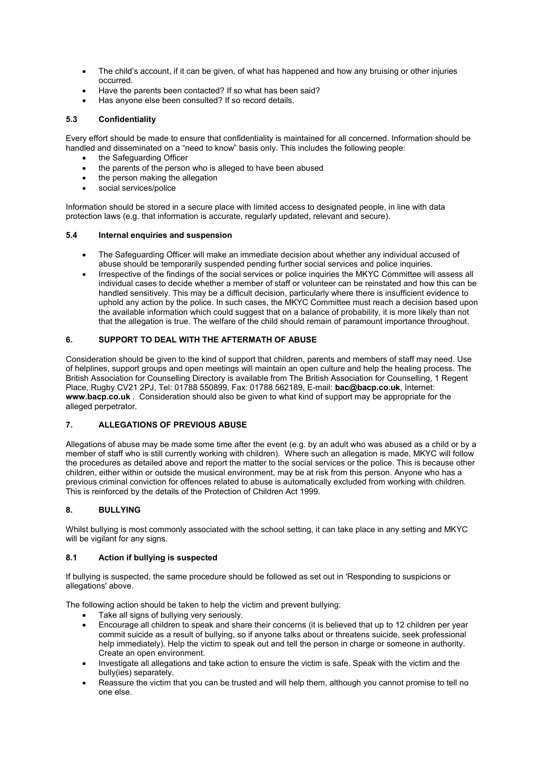- The child's account, if it can be given, of what has happened and how any bruising or other injuries occurred.
- Have the parents been contacted? If so what has been said?
- Has anyone else been consulted? If so record details.

# **5.3 Confidentiality**

Every effort should be made to ensure that confidentiality is maintained for all concerned. Information should be handled and disseminated on a "need to know" basis only. This includes the following people:

- the Safeguarding Officer
- the parents of the person who is alleged to have been abused
- the person making the allegation
- social services/police

Information should be stored in a secure place with limited access to designated people, in line with data protection laws (e.g. that information is accurate, regularly updated, relevant and secure).

# **5.4 Internal enquiries and suspension**

- The Safeguarding Officer will make an immediate decision about whether any individual accused of abuse should be temporarily suspended pending further social services and police inquiries.
- Irrespective of the findings of the social services or police inquiries the MKYC Committee will assess all individual cases to decide whether a member of staff or volunteer can be reinstated and how this can be handled sensitively. This may be a difficult decision, particularly where there is insufficient evidence to uphold any action by the police. In such cases, the MKYC Committee must reach a decision based upon the available information which could suggest that on a balance of probability, it is more likely than not that the allegation is true. The welfare of the child should remain of paramount importance throughout.

# **6. SUPPORT TO DEAL WITH THE AFTERMATH OF ABUSE**

Consideration should be given to the kind of support that children, parents and members of staff may need. Use of helplines, support groups and open meetings will maintain an open culture and help the healing process. The British Association for Counselling Directory is available from The British Association for Counselling, 1 Regent Place, Rugby CV21 2PJ, Tel: 01788 550899, Fax: 01788 562189, E-mail: **bac@bacp.co.uk**, Internet: **www.bacp.co.uk** . Consideration should also be given to what kind of support may be appropriate for the alleged perpetrator.

# **7. ALLEGATIONS OF PREVIOUS ABUSE**

Allegations of abuse may be made some time after the event (e.g. by an adult who was abused as a child or by a member of staff who is still currently working with children). Where such an allegation is made, MKYC will follow the procedures as detailed above and report the matter to the social services or the police. This is because other children, either within or outside the musical environment, may be at risk from this person. Anyone who has a previous criminal conviction for offences related to abuse is automatically excluded from working with children. This is reinforced by the details of the Protection of Children Act 1999.

# **8. BULLYING**

Whilst bullying is most commonly associated with the school setting, it can take place in any setting and MKYC will be vigilant for any signs.

# **8.1 Action if bullying is suspected**

If bullying is suspected, the same procedure should be followed as set out in 'Responding to suspicions or allegations' above.

The following action should be taken to help the victim and prevent bullying:

- Take all signs of bullying very seriously.
- Encourage all children to speak and share their concerns (it is believed that up to 12 children per year commit suicide as a result of bullying, so if anyone talks about or threatens suicide, seek professional help immediately). Help the victim to speak out and tell the person in charge or someone in authority. Create an open environment.
- Investigate all allegations and take action to ensure the victim is safe. Speak with the victim and the bully(ies) separately.
- Reassure the victim that you can be trusted and will help them, although you cannot promise to tell no one else.